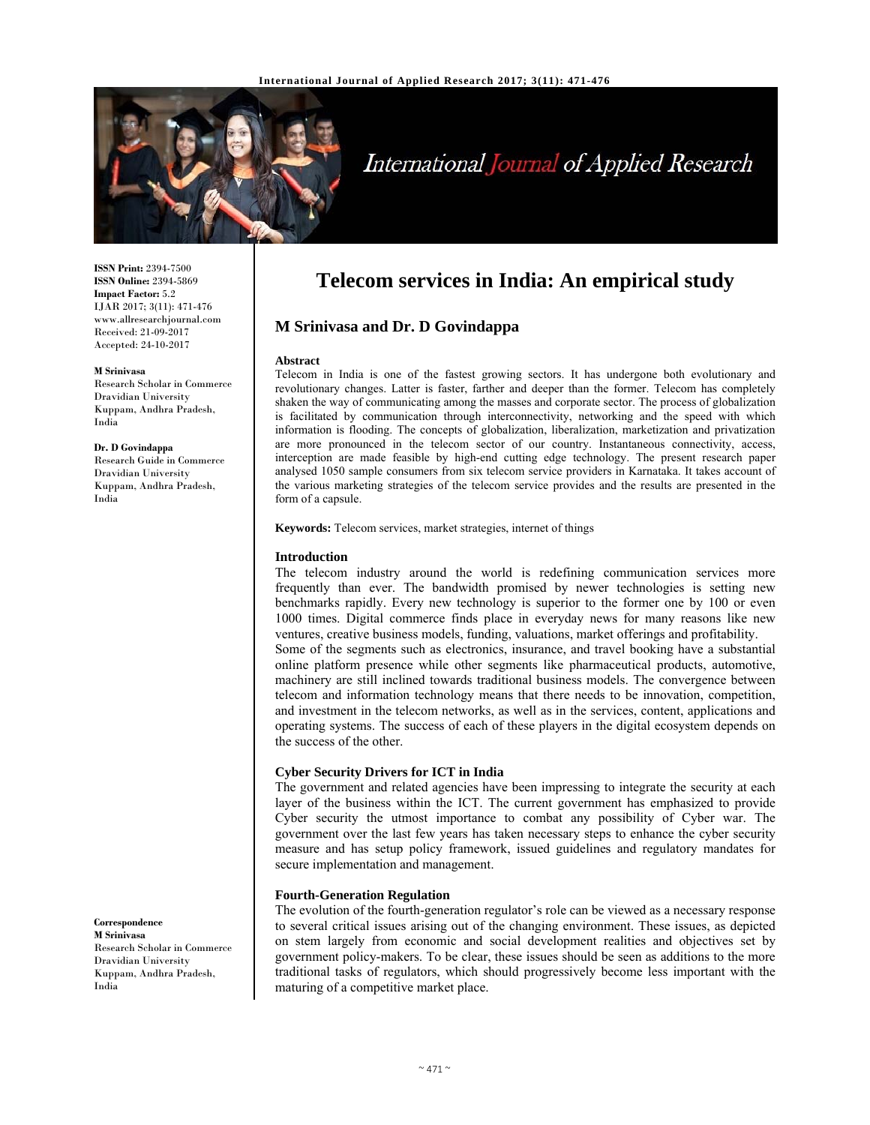

# International Journal of Applied Research

**ISSN Print:** 2394-7500 **ISSN Online:** 2394-5869 **Impact Factor:** 5.2 IJAR 2017; 3(11): 471-476 www.allresearchjournal.com Received: 21-09-2017 Accepted: 24-10-2017

## **M Srinivasa**

Research Scholar in Commerce Dravidian University Kuppam, Andhra Pradesh, India

## **Dr. D Govindappa**

Research Guide in Commerce Dravidian University Kuppam, Andhra Pradesh, India

## **Telecom services in India: An empirical study**

## **M Srinivasa and Dr. D Govindappa**

### **Abstract**

Telecom in India is one of the fastest growing sectors. It has undergone both evolutionary and revolutionary changes. Latter is faster, farther and deeper than the former. Telecom has completely shaken the way of communicating among the masses and corporate sector. The process of globalization is facilitated by communication through interconnectivity, networking and the speed with which information is flooding. The concepts of globalization, liberalization, marketization and privatization are more pronounced in the telecom sector of our country. Instantaneous connectivity, access, interception are made feasible by high-end cutting edge technology. The present research paper analysed 1050 sample consumers from six telecom service providers in Karnataka. It takes account of the various marketing strategies of the telecom service provides and the results are presented in the form of a capsule.

**Keywords:** Telecom services, market strategies, internet of things

## **Introduction**

The telecom industry around the world is redefining communication services more frequently than ever. The bandwidth promised by newer technologies is setting new benchmarks rapidly. Every new technology is superior to the former one by 100 or even 1000 times. Digital commerce finds place in everyday news for many reasons like new ventures, creative business models, funding, valuations, market offerings and profitability. Some of the segments such as electronics, insurance, and travel booking have a substantial online platform presence while other segments like pharmaceutical products, automotive, machinery are still inclined towards traditional business models. The convergence between telecom and information technology means that there needs to be innovation, competition, and investment in the telecom networks, as well as in the services, content, applications and operating systems. The success of each of these players in the digital ecosystem depends on the success of the other.

## **Cyber Security Drivers for ICT in India**

The government and related agencies have been impressing to integrate the security at each layer of the business within the ICT. The current government has emphasized to provide Cyber security the utmost importance to combat any possibility of Cyber war. The government over the last few years has taken necessary steps to enhance the cyber security measure and has setup policy framework, issued guidelines and regulatory mandates for secure implementation and management.

## **Fourth-Generation Regulation**

The evolution of the fourth-generation regulator's role can be viewed as a necessary response to several critical issues arising out of the changing environment. These issues, as depicted on stem largely from economic and social development realities and objectives set by government policy-makers. To be clear, these issues should be seen as additions to the more traditional tasks of regulators, which should progressively become less important with the maturing of a competitive market place.

#### **Correspondence M Srinivasa**

Research Scholar in Commerce Dravidian University Kuppam, Andhra Pradesh, India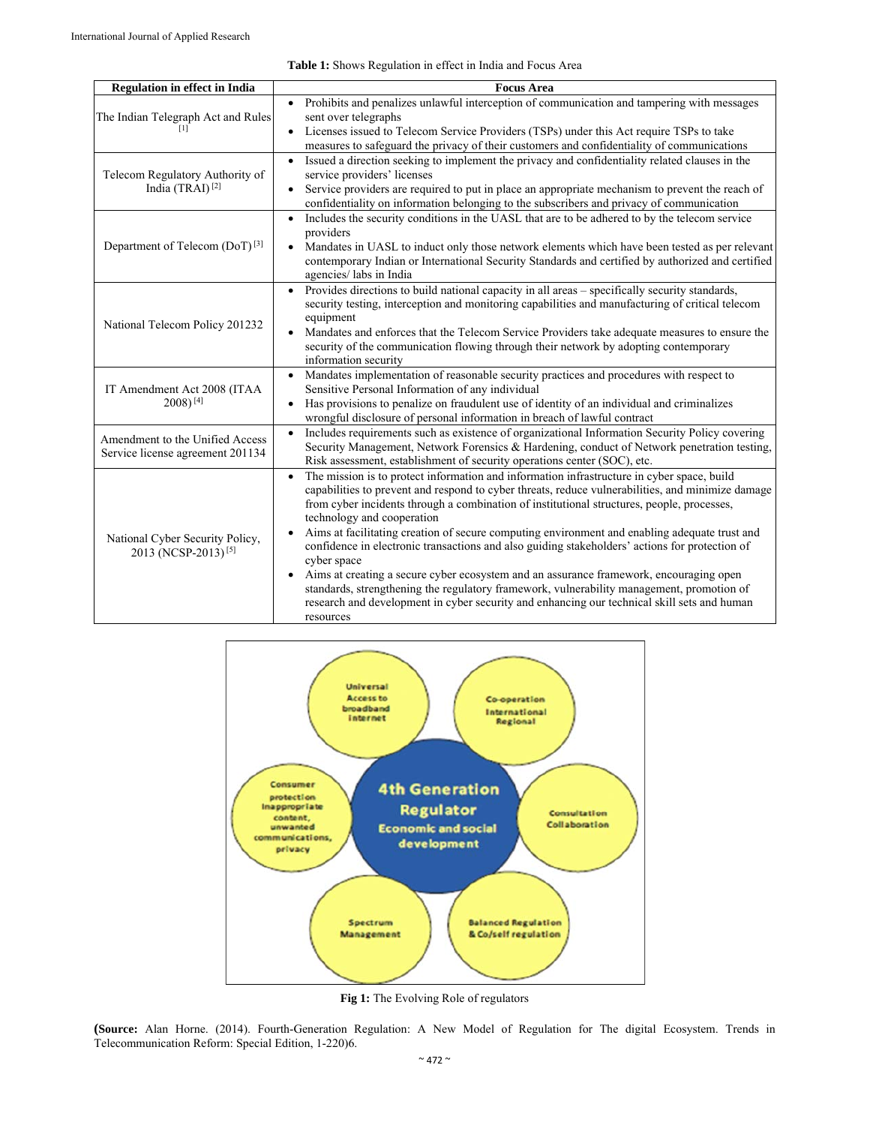| <b>Regulation in effect in India</b>       | <b>Focus Area</b>                                                                                                                                                                                                                          |
|--------------------------------------------|--------------------------------------------------------------------------------------------------------------------------------------------------------------------------------------------------------------------------------------------|
|                                            | Prohibits and penalizes unlawful interception of communication and tampering with messages<br>$\bullet$                                                                                                                                    |
| The Indian Telegraph Act and Rules         | sent over telegraphs                                                                                                                                                                                                                       |
|                                            | Licenses issued to Telecom Service Providers (TSPs) under this Act require TSPs to take                                                                                                                                                    |
|                                            | measures to safeguard the privacy of their customers and confidentiality of communications                                                                                                                                                 |
|                                            | Issued a direction seeking to implement the privacy and confidentiality related clauses in the<br>$\bullet$                                                                                                                                |
| Telecom Regulatory Authority of            | service providers' licenses                                                                                                                                                                                                                |
| India (TRAI) <sup>[2]</sup>                | Service providers are required to put in place an appropriate mechanism to prevent the reach of<br>$\bullet$<br>confidentiality on information belonging to the subscribers and privacy of communication                                   |
|                                            | Includes the security conditions in the UASL that are to be adhered to by the telecom service<br>$\bullet$                                                                                                                                 |
|                                            | providers                                                                                                                                                                                                                                  |
| Department of Telecom (DoT) <sup>[3]</sup> | Mandates in UASL to induct only those network elements which have been tested as per relevant<br>$\bullet$<br>contemporary Indian or International Security Standards and certified by authorized and certified<br>agencies/ labs in India |
|                                            | Provides directions to build national capacity in all areas - specifically security standards,<br>$\bullet$                                                                                                                                |
|                                            | security testing, interception and monitoring capabilities and manufacturing of critical telecom                                                                                                                                           |
| National Telecom Policy 201232             | equipment<br>$\bullet$                                                                                                                                                                                                                     |
|                                            | Mandates and enforces that the Telecom Service Providers take adequate measures to ensure the<br>security of the communication flowing through their network by adopting contemporary                                                      |
|                                            | information security                                                                                                                                                                                                                       |
|                                            | Mandates implementation of reasonable security practices and procedures with respect to<br>$\bullet$                                                                                                                                       |
| IT Amendment Act 2008 (ITAA                | Sensitive Personal Information of any individual                                                                                                                                                                                           |
| $2008$ <sup>[4]</sup>                      | Has provisions to penalize on fraudulent use of identity of an individual and criminalizes                                                                                                                                                 |
|                                            | wrongful disclosure of personal information in breach of lawful contract                                                                                                                                                                   |
| Amendment to the Unified Access            | Includes requirements such as existence of organizational Information Security Policy covering<br>$\bullet$<br>Security Management, Network Forensics & Hardening, conduct of Network penetration testing,                                 |
| Service license agreement 201134           | Risk assessment, establishment of security operations center (SOC), etc.                                                                                                                                                                   |
|                                            | The mission is to protect information and information infrastructure in cyber space, build<br>$\bullet$                                                                                                                                    |
|                                            | capabilities to prevent and respond to cyber threats, reduce vulnerabilities, and minimize damage                                                                                                                                          |
|                                            | from cyber incidents through a combination of institutional structures, people, processes,                                                                                                                                                 |
|                                            | technology and cooperation                                                                                                                                                                                                                 |
| National Cyber Security Policy,            | Aims at facilitating creation of secure computing environment and enabling adequate trust and<br>confidence in electronic transactions and also guiding stakeholders' actions for protection of                                            |
| 2013 (NCSP-2013) <sup>[5]</sup>            | cyber space                                                                                                                                                                                                                                |
|                                            | Aims at creating a secure cyber ecosystem and an assurance framework, encouraging open<br>$\bullet$                                                                                                                                        |
|                                            | standards, strengthening the regulatory framework, vulnerability management, promotion of                                                                                                                                                  |
|                                            | research and development in cyber security and enhancing our technical skill sets and human                                                                                                                                                |
|                                            | resources                                                                                                                                                                                                                                  |





**Fig 1:** The Evolving Role of regulators

**(Source:** Alan Horne. (2014). Fourth-Generation Regulation: A New Model of Regulation for The digital Ecosystem. Trends in Telecommunication Reform: Special Edition, 1-220)6.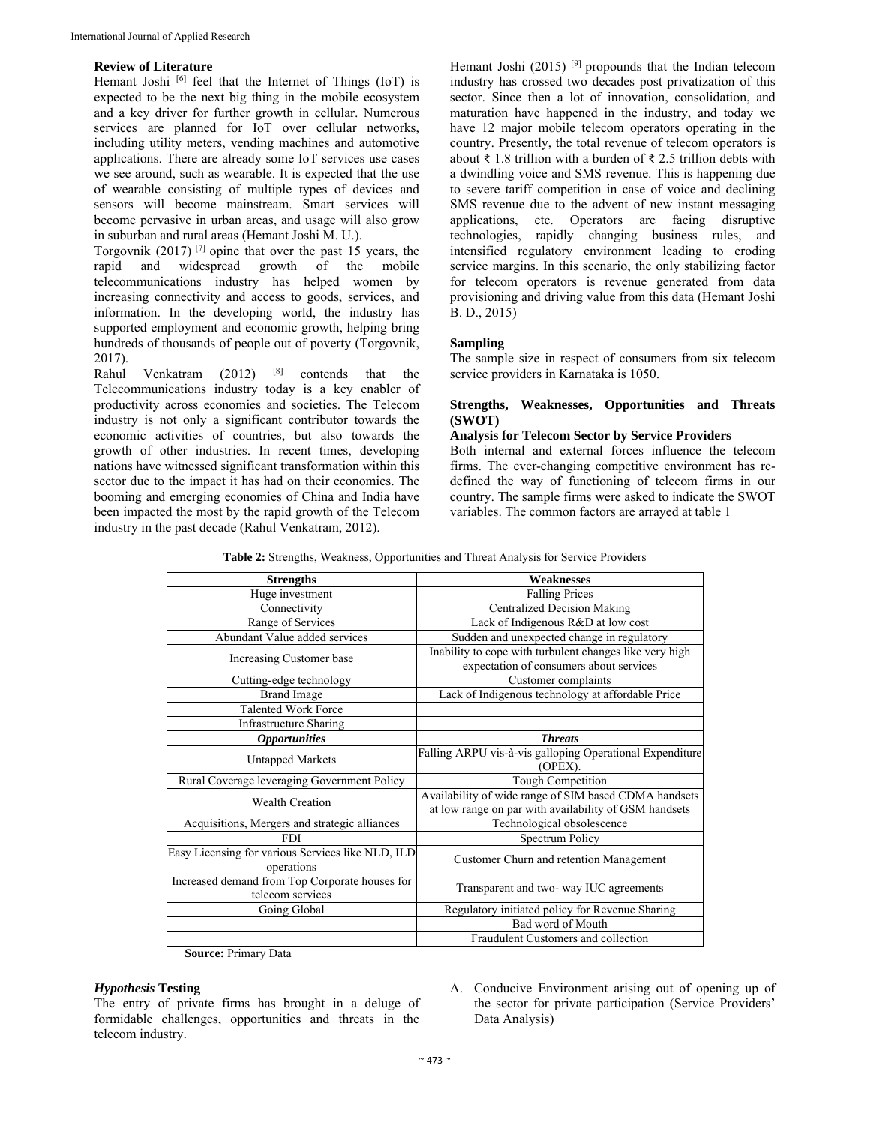## **Review of Literature**

Hemant Joshi  $[6]$  feel that the Internet of Things (IoT) is expected to be the next big thing in the mobile ecosystem and a key driver for further growth in cellular. Numerous services are planned for IoT over cellular networks, including utility meters, vending machines and automotive applications. There are already some IoT services use cases we see around, such as wearable. It is expected that the use of wearable consisting of multiple types of devices and sensors will become mainstream. Smart services will become pervasive in urban areas, and usage will also grow in suburban and rural areas (Hemant Joshi M. U.).

Torgovnik (2017) [7] opine that over the past 15 years, the rapid and widespread growth of the mobile telecommunications industry has helped women by increasing connectivity and access to goods, services, and information. In the developing world, the industry has supported employment and economic growth, helping bring hundreds of thousands of people out of poverty (Torgovnik, 2017).

Venkatram  $(2012)$   $[8]$  contends that the Telecommunications industry today is a key enabler of productivity across economies and societies. The Telecom industry is not only a significant contributor towards the economic activities of countries, but also towards the growth of other industries. In recent times, developing nations have witnessed significant transformation within this sector due to the impact it has had on their economies. The booming and emerging economies of China and India have been impacted the most by the rapid growth of the Telecom industry in the past decade (Rahul Venkatram, 2012).

Hemant Joshi (2015)<sup>[9]</sup> propounds that the Indian telecom industry has crossed two decades post privatization of this sector. Since then a lot of innovation, consolidation, and maturation have happened in the industry, and today we have 12 major mobile telecom operators operating in the country. Presently, the total revenue of telecom operators is about ₹ 1.8 trillion with a burden of ₹ 2.5 trillion debts with a dwindling voice and SMS revenue. This is happening due to severe tariff competition in case of voice and declining SMS revenue due to the advent of new instant messaging applications, etc. Operators are facing disruptive technologies, rapidly changing business rules, and intensified regulatory environment leading to eroding service margins. In this scenario, the only stabilizing factor for telecom operators is revenue generated from data provisioning and driving value from this data (Hemant Joshi B. D., 2015)

## **Sampling**

The sample size in respect of consumers from six telecom service providers in Karnataka is 1050.

## **Strengths, Weaknesses, Opportunities and Threats (SWOT)**

## **Analysis for Telecom Sector by Service Providers**

Both internal and external forces influence the telecom firms. The ever-changing competitive environment has redefined the way of functioning of telecom firms in our country. The sample firms were asked to indicate the SWOT variables. The common factors are arrayed at table 1

| <b>Strengths</b>                                                   | <b>Weaknesses</b>                                                                                              |
|--------------------------------------------------------------------|----------------------------------------------------------------------------------------------------------------|
| Huge investment                                                    | <b>Falling Prices</b>                                                                                          |
| Connectivity                                                       | <b>Centralized Decision Making</b>                                                                             |
| Range of Services                                                  | Lack of Indigenous R&D at low cost                                                                             |
| Abundant Value added services                                      | Sudden and unexpected change in regulatory                                                                     |
| Increasing Customer base                                           | Inability to cope with turbulent changes like very high<br>expectation of consumers about services             |
| Cutting-edge technology                                            | Customer complaints                                                                                            |
| <b>Brand Image</b>                                                 | Lack of Indigenous technology at affordable Price                                                              |
| <b>Talented Work Force</b>                                         |                                                                                                                |
| <b>Infrastructure Sharing</b>                                      |                                                                                                                |
| <b>Opportunities</b>                                               | <b>Threats</b>                                                                                                 |
| <b>Untapped Markets</b>                                            | Falling ARPU vis-à-vis galloping Operational Expenditure<br>(OPEX).                                            |
| Rural Coverage leveraging Government Policy                        | Tough Competition                                                                                              |
| <b>Wealth Creation</b>                                             | Availability of wide range of SIM based CDMA handsets<br>at low range on par with availability of GSM handsets |
| Acquisitions, Mergers and strategic alliances                      | Technological obsolescence                                                                                     |
| <b>FDI</b>                                                         | Spectrum Policy                                                                                                |
| Easy Licensing for various Services like NLD, ILD<br>operations    | Customer Churn and retention Management                                                                        |
| Increased demand from Top Corporate houses for<br>telecom services | Transparent and two- way IUC agreements                                                                        |
| Going Global                                                       | Regulatory initiated policy for Revenue Sharing                                                                |
|                                                                    | Bad word of Mouth                                                                                              |
|                                                                    | Fraudulent Customers and collection                                                                            |

**Table 2:** Strengths, Weakness, Opportunities and Threat Analysis for Service Providers

**Source:** Primary Data

## *Hypothesis* **Testing**

The entry of private firms has brought in a deluge of formidable challenges, opportunities and threats in the telecom industry.

A. Conducive Environment arising out of opening up of the sector for private participation (Service Providers' Data Analysis)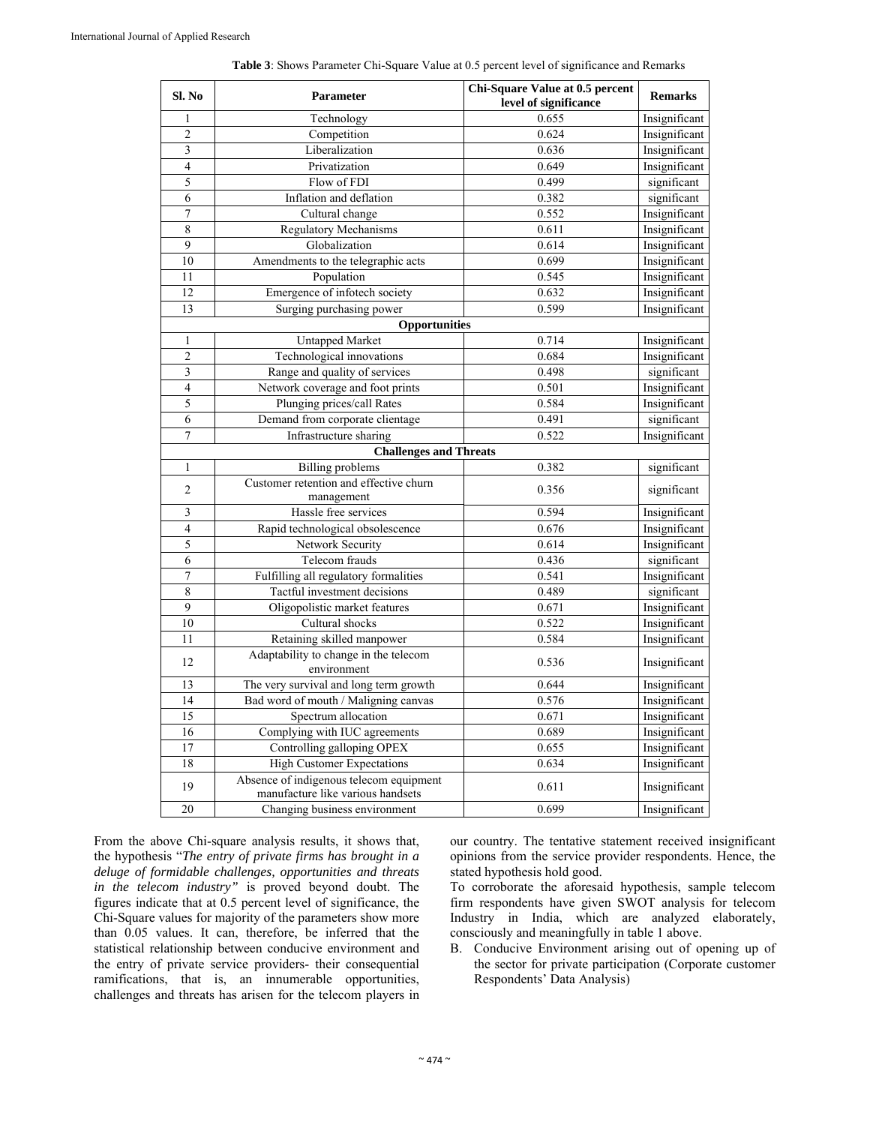| Sl. No                  | Parameter                                                                    | Chi-Square Value at 0.5 percent<br>level of significance | <b>Remarks</b> |  |
|-------------------------|------------------------------------------------------------------------------|----------------------------------------------------------|----------------|--|
| 1                       | Technology                                                                   | 0.655                                                    | Insignificant  |  |
| $\overline{c}$          | Competition                                                                  | 0.624                                                    | Insignificant  |  |
| $\overline{\mathbf{3}}$ | Liberalization                                                               | 0.636                                                    | Insignificant  |  |
| $\overline{4}$          | Privatization                                                                | 0.649                                                    | Insignificant  |  |
| 5                       | Flow of FDI                                                                  | 0.499                                                    | significant    |  |
| 6                       | Inflation and deflation                                                      | 0.382                                                    | significant    |  |
| $\overline{7}$          | Cultural change                                                              | 0.552                                                    | Insignificant  |  |
| $\overline{8}$          | <b>Regulatory Mechanisms</b>                                                 | 0.611                                                    | Insignificant  |  |
| 9                       | Globalization                                                                | 0.614                                                    | Insignificant  |  |
| 10                      | Amendments to the telegraphic acts                                           | 0.699                                                    | Insignificant  |  |
| 11                      | Population                                                                   | 0.545                                                    | Insignificant  |  |
| 12                      | Emergence of infotech society                                                | 0.632                                                    | Insignificant  |  |
| 13                      | Surging purchasing power                                                     | 0.599                                                    | Insignificant  |  |
|                         | <b>Opportunities</b>                                                         |                                                          |                |  |
| $\mathbf{1}$            | <b>Untapped Market</b>                                                       | 0.714                                                    | Insignificant  |  |
| $\overline{c}$          | Technological innovations                                                    | 0.684                                                    | Insignificant  |  |
| $\overline{\mathbf{3}}$ | Range and quality of services                                                | 0.498                                                    | significant    |  |
| $\overline{\mathbf{4}}$ | Network coverage and foot prints                                             | 0.501                                                    | Insignificant  |  |
| $\overline{5}$          | Plunging prices/call Rates                                                   | 0.584                                                    | Insignificant  |  |
| $\overline{6}$          | Demand from corporate clientage                                              | 0.491                                                    | significant    |  |
| $\overline{7}$          | Infrastructure sharing                                                       | 0.522                                                    | Insignificant  |  |
|                         | <b>Challenges and Threats</b>                                                |                                                          |                |  |
| $\mathbf{1}$            | <b>Billing</b> problems                                                      | 0.382                                                    | significant    |  |
| $\overline{c}$          | Customer retention and effective churn<br>management                         | 0.356                                                    | significant    |  |
| 3                       | Hassle free services                                                         | 0.594                                                    | Insignificant  |  |
| $\overline{4}$          | Rapid technological obsolescence                                             | 0.676                                                    | Insignificant  |  |
| 5                       | Network Security                                                             | 0.614                                                    | Insignificant  |  |
| 6                       | Telecom frauds                                                               | 0.436                                                    | significant    |  |
| $\overline{7}$          | Fulfilling all regulatory formalities                                        | 0.541                                                    | Insignificant  |  |
| $\overline{8}$          | Tactful investment decisions                                                 | 0.489                                                    | significant    |  |
| $\overline{9}$          | Oligopolistic market features                                                | 0.671                                                    | Insignificant  |  |
| 10                      | Cultural shocks                                                              | 0.522                                                    | Insignificant  |  |
| 11                      | Retaining skilled manpower                                                   | 0.584                                                    | Insignificant  |  |
| 12                      | Adaptability to change in the telecom<br>environment                         | 0.536                                                    | Insignificant  |  |
| 13                      | The very survival and long term growth                                       | 0.644                                                    | Insignificant  |  |
| 14                      | Bad word of mouth / Maligning canvas                                         | 0.576                                                    | Insignificant  |  |
| 15                      | Spectrum allocation                                                          | 0.671                                                    | Insignificant  |  |
| 16                      | Complying with IUC agreements                                                | 0.689                                                    | Insignificant  |  |
| 17                      | Controlling galloping OPEX                                                   | 0.655                                                    | Insignificant  |  |
| 18                      | <b>High Customer Expectations</b>                                            | 0.634                                                    | Insignificant  |  |
| 19                      | Absence of indigenous telecom equipment<br>manufacture like various handsets | 0.611                                                    | Insignificant  |  |
| 20                      | Changing business environment                                                | 0.699                                                    | Insignificant  |  |

| <b>Table 3:</b> Shows Parameter Chi-Square Value at 0.5 percent level of significance and Remarks |
|---------------------------------------------------------------------------------------------------|
|---------------------------------------------------------------------------------------------------|

From the above Chi-square analysis results, it shows that, the hypothesis "*The entry of private firms has brought in a deluge of formidable challenges, opportunities and threats in the telecom industry"* is proved beyond doubt. The figures indicate that at 0.5 percent level of significance, the Chi-Square values for majority of the parameters show more than 0.05 values. It can, therefore, be inferred that the statistical relationship between conducive environment and the entry of private service providers- their consequential ramifications, that is, an innumerable opportunities, challenges and threats has arisen for the telecom players in

our country. The tentative statement received insignificant opinions from the service provider respondents. Hence, the stated hypothesis hold good.

To corroborate the aforesaid hypothesis, sample telecom firm respondents have given SWOT analysis for telecom Industry in India, which are analyzed elaborately, consciously and meaningfully in table 1 above.

B. Conducive Environment arising out of opening up of the sector for private participation (Corporate customer Respondents' Data Analysis)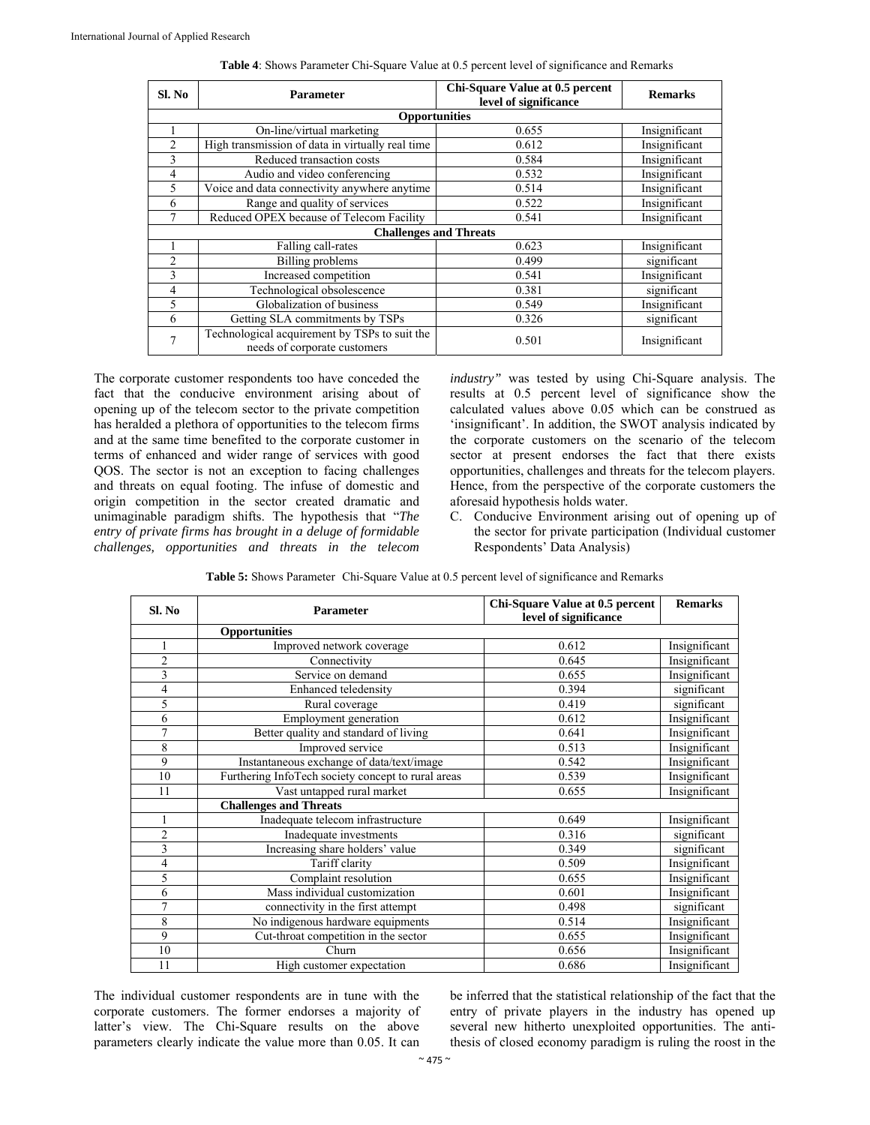| Sl. No         | <b>Parameter</b>                                                              | Chi-Square Value at 0.5 percent<br>level of significance | <b>Remarks</b> |  |
|----------------|-------------------------------------------------------------------------------|----------------------------------------------------------|----------------|--|
|                | <b>Opportunities</b>                                                          |                                                          |                |  |
|                | On-line/virtual marketing                                                     | 0.655                                                    | Insignificant  |  |
| $\overline{2}$ | High transmission of data in virtually real time                              | 0.612                                                    | Insignificant  |  |
| 3              | Reduced transaction costs                                                     | 0.584                                                    | Insignificant  |  |
| 4              | Audio and video conferencing                                                  | 0.532                                                    | Insignificant  |  |
| 5              | Voice and data connectivity anywhere anytime                                  | 0.514                                                    | Insignificant  |  |
| 6              | Range and quality of services                                                 | 0.522                                                    | Insignificant  |  |
| 7              | Reduced OPEX because of Telecom Facility                                      | 0.541                                                    | Insignificant  |  |
|                | <b>Challenges and Threats</b>                                                 |                                                          |                |  |
|                | Falling call-rates                                                            | 0.623                                                    | Insignificant  |  |
| $\mathfrak{D}$ | <b>Billing</b> problems                                                       | 0.499                                                    | significant    |  |
| 3              | Increased competition                                                         | 0.541                                                    | Insignificant  |  |
| 4              | Technological obsolescence                                                    | 0.381                                                    | significant    |  |
| 5              | Globalization of business                                                     | 0.549                                                    | Insignificant  |  |
| 6              | Getting SLA commitments by TSPs                                               | 0.326                                                    | significant    |  |
| 7              | Technological acquirement by TSPs to suit the<br>needs of corporate customers | 0.501                                                    | Insignificant  |  |

|  |  | <b>Table 4:</b> Shows Parameter Chi-Square Value at 0.5 percent level of significance and Remarks |
|--|--|---------------------------------------------------------------------------------------------------|
|  |  |                                                                                                   |

The corporate customer respondents too have conceded the fact that the conducive environment arising about of opening up of the telecom sector to the private competition has heralded a plethora of opportunities to the telecom firms and at the same time benefited to the corporate customer in terms of enhanced and wider range of services with good QOS. The sector is not an exception to facing challenges and threats on equal footing. The infuse of domestic and origin competition in the sector created dramatic and unimaginable paradigm shifts. The hypothesis that "*The entry of private firms has brought in a deluge of formidable challenges, opportunities and threats in the telecom* 

*industry"* was tested by using Chi-Square analysis. The results at 0.5 percent level of significance show the calculated values above 0.05 which can be construed as 'insignificant'. In addition, the SWOT analysis indicated by the corporate customers on the scenario of the telecom sector at present endorses the fact that there exists opportunities, challenges and threats for the telecom players. Hence, from the perspective of the corporate customers the aforesaid hypothesis holds water.

C. Conducive Environment arising out of opening up of the sector for private participation (Individual customer Respondents' Data Analysis)

| Sl. No         | <b>Parameter</b>                                   | Chi-Square Value at 0.5 percent<br>level of significance | <b>Remarks</b> |
|----------------|----------------------------------------------------|----------------------------------------------------------|----------------|
|                | Opportunities                                      |                                                          |                |
|                | Improved network coverage                          | 0.612                                                    | Insignificant  |
| $\overline{c}$ | Connectivity                                       | 0.645                                                    | Insignificant  |
| 3              | Service on demand                                  | 0.655                                                    | Insignificant  |
| 4              | <b>Enhanced teledensity</b>                        | 0.394                                                    | significant    |
| 5              | Rural coverage                                     | 0.419                                                    | significant    |
| 6              | Employment generation                              | 0.612                                                    | Insignificant  |
| 7              | Better quality and standard of living              | 0.641                                                    | Insignificant  |
| 8              | Improved service                                   | 0.513                                                    | Insignificant  |
| 9              | Instantaneous exchange of data/text/image          | 0.542                                                    | Insignificant  |
| 10             | Furthering InfoTech society concept to rural areas | 0.539                                                    | Insignificant  |
| 11             | Vast untapped rural market                         | 0.655                                                    | Insignificant  |
|                | <b>Challenges and Threats</b>                      |                                                          |                |
| 1              | Inadequate telecom infrastructure                  | 0.649                                                    | Insignificant  |
| $\overline{c}$ | Inadequate investments                             | 0.316                                                    | significant    |
| 3              | Increasing share holders' value                    | 0.349                                                    | significant    |
| 4              | Tariff clarity                                     | 0.509                                                    | Insignificant  |
| 5              | Complaint resolution                               | 0.655                                                    | Insignificant  |
| 6              | Mass individual customization                      | 0.601                                                    | Insignificant  |
| 7              | connectivity in the first attempt                  | 0.498                                                    | significant    |
| 8              | No indigenous hardware equipments                  | 0.514                                                    | Insignificant  |
| 9              | Cut-throat competition in the sector               | 0.655                                                    | Insignificant  |
| 10             | Churn                                              | 0.656                                                    | Insignificant  |
| 11             | High customer expectation                          | 0.686                                                    | Insignificant  |

**Table 5:** Shows Parameter Chi-Square Value at 0.5 percent level of significance and Remarks

The individual customer respondents are in tune with the corporate customers. The former endorses a majority of latter's view. The Chi-Square results on the above parameters clearly indicate the value more than 0.05. It can

be inferred that the statistical relationship of the fact that the entry of private players in the industry has opened up several new hitherto unexploited opportunities. The antithesis of closed economy paradigm is ruling the roost in the